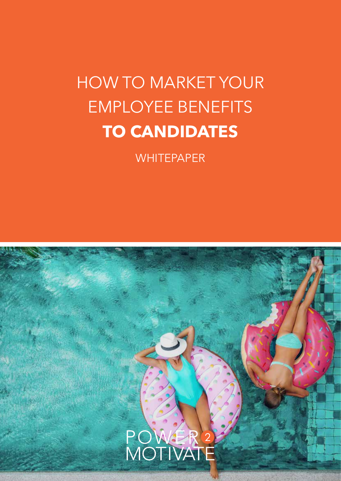# HOW TO MARKET YOUR EMPLOYEE BENEFITS **TO CANDIDATES**

**WHITEPAPER** 

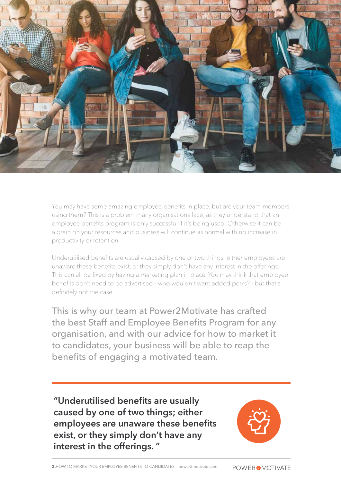

You may have some amazing employee benefits in place, but are your team members using them? This is a problem many organisations face, as they understand that an employee benefits program is only successful if it's being used. Otherwise it can be a drain on your resources and business will continue as normal with no increase in productivity or retention.

Underutilised benefits are usually caused by one of two things; either employees are unaware these benefits exist, or they simply don't have any interest in the offerings. This can all be fixed by having a marketing plan in place. You may think that employee benefits don't need to be advertised - who wouldn't want added perks? - but that's definitely not the case.

This is why our team at Power2Motivate has crafted the best Staff and Employee Benefits Program for any organisation, and with our advice for how to market it to candidates, your business will be able to reap the benefits of engaging a motivated team.

**"Underutilised benefits are usually caused by one of two things; either employees are unaware these benefits exist, or they simply don't have any interest in the offerings. "**

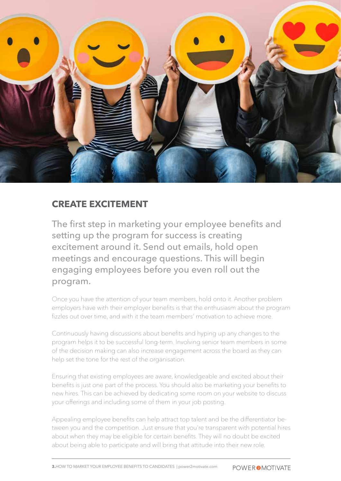

#### **CREATE EXCITEMENT**

The first step in marketing your employee benefits and setting up the program for success is creating excitement around it. Send out emails, hold open meetings and encourage questions. This will begin engaging employees before you even roll out the program.

Once you have the attention of your team members, hold onto it. Another problem employers have with their employer benefits is that the enthusiasm about the program fizzles out over time, and with it the team members' motivation to achieve more.

Continuously having discussions about benefits and hyping up any changes to the program helps it to be successful long-term. Involving senior team members in some of the decision making can also increase engagement across the board as they can help set the tone for the rest of the organisation.

Ensuring that existing employees are aware, knowledgeable and excited about their benefits is just one part of the process. You should also be marketing your benefits to new hires. This can be achieved by dedicating some room on your website to discuss your offerings and including some of them in your job posting.

Appealing employee benefits can help attract top talent and be the differentiator between you and the competition. Just ensure that you're transparent with potential hires about when they may be eligible for certain benefits. They will no doubt be excited about being able to participate and will bring that attitude into their new role.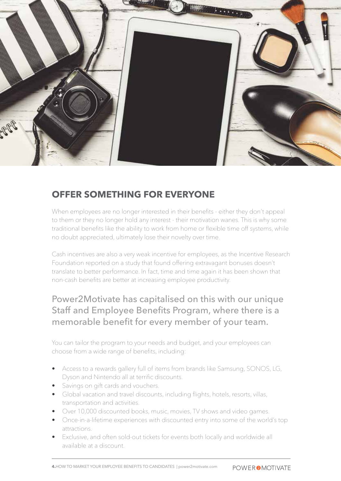

### **OFFER SOMETHING FOR EVERYONE**

When employees are no longer interested in their benefits - either they don't appeal to them or they no longer hold any interest - their motivation wanes. This is why some traditional benefits like the ability to work from home or flexible time off systems, while no doubt appreciated, ultimately lose their novelty over time.

Cash incentives are also a very weak incentive for employees, as the Incentive Research Foundation reported on a study that found offering extravagant bonuses doesn't translate to better performance. In fact, time and time again it has been shown that non-cash benefits are better at increasing employee productivity.

### Power2Motivate has capitalised on this with our unique Staff and Employee Benefits Program, where there is a memorable benefit for every member of your team.

You can tailor the program to your needs and budget, and your employees can choose from a wide range of benefits, including:

- Access to a rewards gallery full of items from brands like Samsung, SONOS, LG, Dyson and Nintendo all at terrific discounts.
- Savings on gift cards and vouchers.
- Global vacation and travel discounts, including flights, hotels, resorts, villas, transportation and activities.
- Over 10,000 discounted books, music, movies, TV shows and video games.
- Once-in-a-lifetime experiences with discounted entry into some of the world's top attractions.
- Exclusive, and often sold-out tickets for events both locally and worldwide all available at a discount.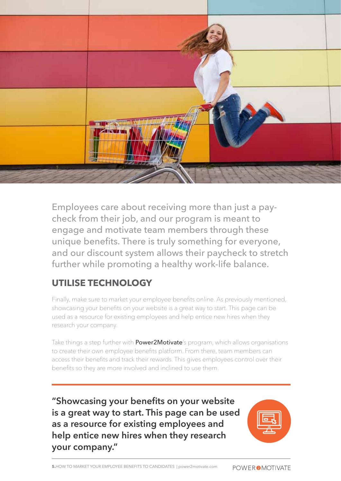

Employees care about receiving more than just a paycheck from their job, and our program is meant to engage and motivate team members through these unique benefits. There is truly something for everyone, and our discount system allows their paycheck to stretch further while promoting a healthy work-life balance.

## **UTILISE TECHNOLOGY**

Finally, make sure to market your employee benefits online. As previously mentioned, showcasing your benefits on your website is a great way to start. This page can be used as a resource for existing employees and help entice new hires when they research your company.

Take things a step further with **Power2Motivate**'s program, which allows organisations to create their own employee benefits platform. From there, team members can access their benefits and track their rewards. This gives employees control over their benefits so they are more involved and inclined to use them.

**"Showcasing your benefits on your website is a great way to start. This page can be used as a resource for existing employees and help entice new hires when they research your company."**

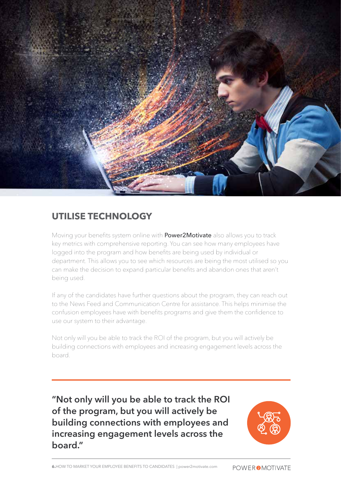

#### **UTILISE TECHNOLOGY**

Moving your benefits system online with **Power2Motivate** also allows you to track key metrics with comprehensive reporting. You can see how many employees have logged into the program and how benefits are being used by individual or department. This allows you to see which resources are being the most utilised so you can make the decision to expand particular benefits and abandon ones that aren't being used.

If any of the candidates have further questions about the program, they can reach out to the News Feed and Communication Centre for assistance. This helps minimise the confusion employees have with benefits programs and give them the confidence to use our system to their advantage.

Not only will you be able to track the ROI of the program, but you will actively be building connections with employees and increasing engagement levels across the board.

**"Not only will you be able to track the ROI of the program, but you will actively be building connections with employees and increasing engagement levels across the board."**